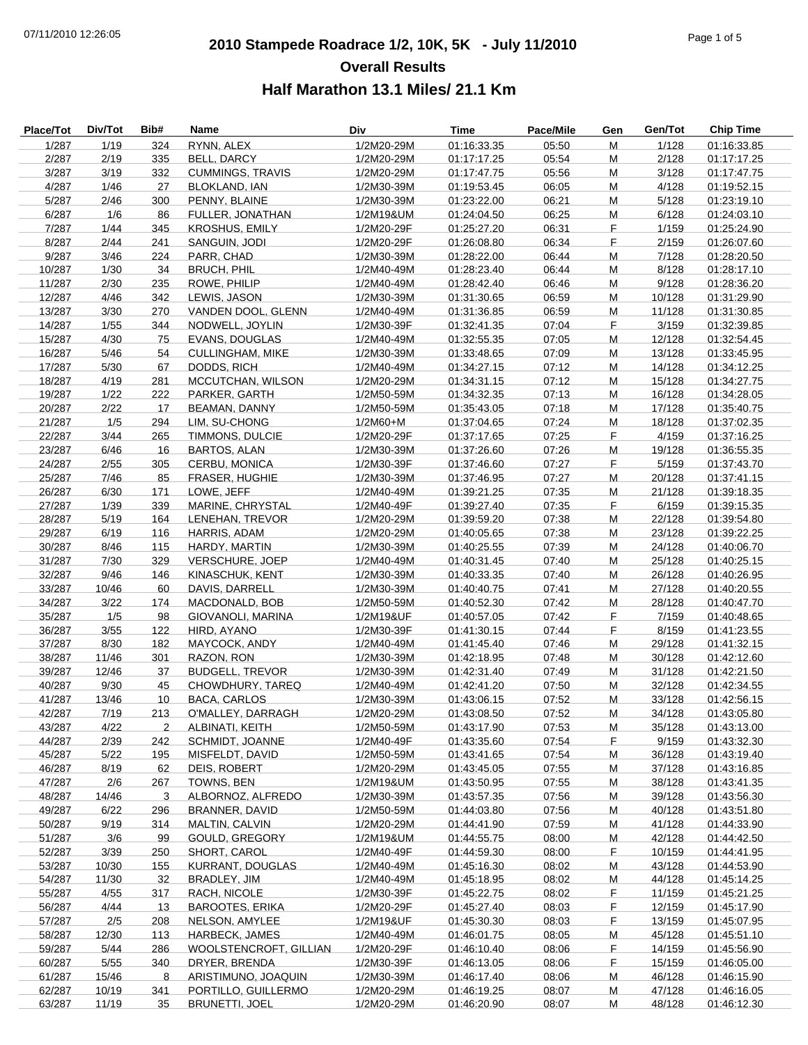# **2010 Stampede Roadrace 1/2, 10K, 5K - July 11/2010** 07/11/2010 12:26:05 Page 1 of 5 **Overall Results Half Marathon 13.1 Miles/ 21.1 Km**

| <b>Place/Tot</b> | Div/Tot | Bib# | Name                    | Div        | <b>Time</b> | Pace/Mile | Gen | Gen/Tot | <b>Chip Time</b> |
|------------------|---------|------|-------------------------|------------|-------------|-----------|-----|---------|------------------|
| 1/287            | 1/19    | 324  | RYNN, ALEX              | 1/2M20-29M | 01:16:33.35 | 05:50     | M   | 1/128   | 01:16:33.85      |
| 2/287            | 2/19    | 335  | BELL, DARCY             | 1/2M20-29M | 01:17:17.25 | 05:54     | M   | 2/128   | 01:17:17.25      |
| 3/287            | 3/19    | 332  | <b>CUMMINGS, TRAVIS</b> | 1/2M20-29M | 01:17:47.75 | 05:56     | M   | 3/128   | 01:17:47.75      |
| 4/287            | 1/46    | 27   | <b>BLOKLAND, IAN</b>    | 1/2M30-39M | 01:19:53.45 | 06:05     | M   | 4/128   | 01:19:52.15      |
| 5/287            | 2/46    | 300  | PENNY, BLAINE           | 1/2M30-39M | 01:23:22.00 | 06:21     | M   | 5/128   | 01:23:19.10      |
| 6/287            | 1/6     | 86   | FULLER, JONATHAN        | 1/2M19&UM  | 01:24:04.50 | 06:25     | M   | 6/128   | 01:24:03.10      |
| 7/287            | 1/44    | 345  | <b>KROSHUS, EMILY</b>   | 1/2M20-29F | 01:25:27.20 | 06:31     | F   | 1/159   | 01:25:24.90      |
| 8/287            | 2/44    | 241  | SANGUIN, JODI           | 1/2M20-29F | 01:26:08.80 | 06:34     | F   | 2/159   | 01:26:07.60      |
| 9/287            | 3/46    | 224  | PARR, CHAD              | 1/2M30-39M | 01:28:22.00 | 06:44     | M   | 7/128   | 01:28:20.50      |
| 10/287           | 1/30    | 34   | <b>BRUCH, PHIL</b>      | 1/2M40-49M | 01:28:23.40 | 06:44     | M   | 8/128   | 01:28:17.10      |
| 11/287           | 2/30    | 235  | ROWE, PHILIP            | 1/2M40-49M | 01:28:42.40 | 06:46     | M   | 9/128   | 01:28:36.20      |
| 12/287           | 4/46    | 342  | LEWIS, JASON            | 1/2M30-39M | 01:31:30.65 | 06:59     | M   | 10/128  | 01:31:29.90      |
| 13/287           | 3/30    | 270  | VANDEN DOOL, GLENN      | 1/2M40-49M | 01:31:36.85 | 06:59     | M   | 11/128  | 01:31:30.85      |
| 14/287           | 1/55    | 344  | NODWELL, JOYLIN         | 1/2M30-39F | 01:32:41.35 | 07:04     | F   | 3/159   | 01:32:39.85      |
| 15/287           | 4/30    | 75   | <b>EVANS, DOUGLAS</b>   | 1/2M40-49M | 01:32:55.35 | 07:05     | М   | 12/128  | 01:32:54.45      |
| 16/287           | 5/46    | 54   | <b>CULLINGHAM, MIKE</b> | 1/2M30-39M | 01:33:48.65 | 07:09     | М   | 13/128  | 01:33:45.95      |
| 17/287           | 5/30    | 67   | DODDS, RICH             | 1/2M40-49M | 01:34:27.15 | 07:12     | M   | 14/128  | 01:34:12.25      |
|                  |         |      | MCCUTCHAN, WILSON       |            |             |           |     | 15/128  | 01:34:27.75      |
| 18/287           | 4/19    | 281  |                         | 1/2M20-29M | 01:34:31.15 | 07:12     | M   |         |                  |
| 19/287           | 1/22    | 222  | PARKER, GARTH           | 1/2M50-59M | 01:34:32.35 | 07:13     | M   | 16/128  | 01:34:28.05      |
| 20/287           | 2/22    | 17   | BEAMAN, DANNY           | 1/2M50-59M | 01:35:43.05 | 07:18     | M   | 17/128  | 01:35:40.75      |
| 21/287           | 1/5     | 294  | LIM, SU-CHONG           | 1/2M60+M   | 01:37:04.65 | 07:24     | M   | 18/128  | 01:37:02.35      |
| 22/287           | 3/44    | 265  | TIMMONS, DULCIE         | 1/2M20-29F | 01:37:17.65 | 07:25     | F   | 4/159   | 01:37:16.25      |
| 23/287           | 6/46    | 16   | <b>BARTOS, ALAN</b>     | 1/2M30-39M | 01:37:26.60 | 07:26     | M   | 19/128  | 01:36:55.35      |
| 24/287           | 2/55    | 305  | CERBU, MONICA           | 1/2M30-39F | 01:37:46.60 | 07:27     | F   | 5/159   | 01:37:43.70      |
| 25/287           | 7/46    | 85   | <b>FRASER, HUGHIE</b>   | 1/2M30-39M | 01:37:46.95 | 07:27     | M   | 20/128  | 01:37:41.15      |
| 26/287           | 6/30    | 171  | LOWE, JEFF              | 1/2M40-49M | 01:39:21.25 | 07:35     | M   | 21/128  | 01:39:18.35      |
| 27/287           | 1/39    | 339  | MARINE, CHRYSTAL        | 1/2M40-49F | 01:39:27.40 | 07:35     | F   | 6/159   | 01:39:15.35      |
| 28/287           | 5/19    | 164  | LENEHAN, TREVOR         | 1/2M20-29M | 01:39:59.20 | 07:38     | M   | 22/128  | 01:39:54.80      |
| 29/287           | 6/19    | 116  | HARRIS, ADAM            | 1/2M20-29M | 01:40:05.65 | 07:38     | M   | 23/128  | 01:39:22.25      |
| 30/287           | 8/46    | 115  | HARDY, MARTIN           | 1/2M30-39M | 01:40:25.55 | 07:39     | M   | 24/128  | 01:40:06.70      |
| 31/287           | 7/30    | 329  | VERSCHURE, JOEP         | 1/2M40-49M | 01:40:31.45 | 07:40     | М   | 25/128  | 01:40:25.15      |
| 32/287           | 9/46    | 146  | KINASCHUK, KENT         | 1/2M30-39M | 01:40:33.35 | 07:40     | M   | 26/128  | 01:40:26.95      |
| 33/287           | 10/46   | 60   | DAVIS, DARRELL          | 1/2M30-39M | 01:40:40.75 | 07:41     | M   | 27/128  | 01:40:20.55      |
| 34/287           | 3/22    | 174  | MACDONALD, BOB          | 1/2M50-59M | 01:40:52.30 | 07:42     | M   | 28/128  | 01:40:47.70      |
| 35/287           | 1/5     | 98   | GIOVANOLI, MARINA       | 1/2M19&UF  | 01:40:57.05 | 07:42     | F   | 7/159   | 01:40:48.65      |
| 36/287           | 3/55    | 122  | HIRD, AYANO             | 1/2M30-39F | 01:41:30.15 | 07:44     | F   | 8/159   | 01:41:23.55      |
| 37/287           | 8/30    | 182  | MAYCOCK, ANDY           | 1/2M40-49M | 01:41:45.40 | 07:46     | M   | 29/128  | 01:41:32.15      |
| 38/287           | 11/46   | 301  | RAZON, RON              | 1/2M30-39M | 01:42:18.95 | 07:48     | M   | 30/128  | 01:42:12.60      |
| 39/287           | 12/46   | 37   | <b>BUDGELL, TREVOR</b>  | 1/2M30-39M | 01:42:31.40 | 07:49     | М   | 31/128  | 01:42:21.50      |
| 40/287           | 9/30    | 45   | CHOWDHURY, TAREQ        | 1/2M40-49M | 01:42:41.20 | 07:50     | M   | 32/128  | 01:42:34.55      |
| 41/287           | 13/46   | 10   | <b>BACA, CARLOS</b>     | 1/2M30-39M | 01:43:06.15 | 07:52     | M   | 33/128  | 01:42:56.15      |
| 42/287           | 7/19    | 213  | O'MALLEY, DARRAGH       | 1/2M20-29M | 01:43:08.50 | 07:52     | M   | 34/128  | 01:43:05.80      |
| 43/287           | 4/22    | 2    | ALBINATI, KEITH         | 1/2M50-59M | 01:43:17.90 | 07:53     | M   | 35/128  | 01:43:13.00      |
| 44/287           | 2/39    | 242  | SCHMIDT, JOANNE         | 1/2M40-49F | 01:43:35.60 | 07:54     | F.  | 9/159   | 01:43:32.30      |
| 45/287           | 5/22    | 195  | MISFELDT, DAVID         | 1/2M50-59M | 01:43:41.65 | 07:54     | М   | 36/128  | 01:43:19.40      |
| 46/287           | 8/19    | 62   | DEIS, ROBERT            | 1/2M20-29M | 01:43:45.05 | 07:55     | M   | 37/128  | 01:43:16.85      |
| 47/287           | 2/6     | 267  | TOWNS, BEN              | 1/2M19&UM  | 01:43:50.95 | 07:55     | м   | 38/128  | 01:43:41.35      |
| 48/287           | 14/46   | 3    | ALBORNOZ, ALFREDO       | 1/2M30-39M | 01:43:57.35 | 07:56     | M   | 39/128  | 01:43:56.30      |
| 49/287           | 6/22    | 296  | <b>BRANNER, DAVID</b>   | 1/2M50-59M | 01:44:03.80 | 07:56     | М   | 40/128  | 01:43:51.80      |
| 50/287           | 9/19    | 314  | MALTIN, CALVIN          | 1/2M20-29M | 01:44:41.90 | 07:59     | M   | 41/128  | 01:44:33.90      |
| 51/287           | 3/6     | 99   | GOULD, GREGORY          | 1/2M19&UM  | 01:44:55.75 | 08:00     | м   | 42/128  | 01:44:42.50      |
| 52/287           | 3/39    | 250  | SHORT, CAROL            | 1/2M40-49F | 01:44:59.30 | 08:00     | F   | 10/159  | 01:44:41.95      |
| 53/287           | 10/30   | 155  | KURRANT, DOUGLAS        | 1/2M40-49M | 01:45:16.30 | 08:02     | M   | 43/128  | 01:44:53.90      |
| 54/287           | 11/30   | 32   | BRADLEY, JIM            | 1/2M40-49M | 01:45:18.95 | 08:02     | M   | 44/128  | 01:45:14.25      |
| 55/287           | 4/55    | 317  | RACH, NICOLE            | 1/2M30-39F | 01:45:22.75 | 08:02     | F.  | 11/159  | 01:45:21.25      |
| 56/287           | 4/44    | 13   | <b>BAROOTES, ERIKA</b>  | 1/2M20-29F | 01:45:27.40 | 08:03     | F   | 12/159  | 01:45:17.90      |
| 57/287           | 2/5     | 208  | NELSON, AMYLEE          | 1/2M19&UF  | 01:45:30.30 | 08:03     | F   | 13/159  |                  |
|                  |         |      |                         |            |             |           |     |         | 01:45:07.95      |
| 58/287           | 12/30   | 113  | <b>HARBECK, JAMES</b>   | 1/2M40-49M | 01:46:01.75 | 08:05     | M   | 45/128  | 01:45:51.10      |
| 59/287           | 5/44    | 286  | WOOLSTENCROFT, GILLIAN  | 1/2M20-29F | 01:46:10.40 | 08:06     | F.  | 14/159  | 01:45:56.90      |
| 60/287           | 5/55    | 340  | DRYER, BRENDA           | 1/2M30-39F | 01:46:13.05 | 08:06     | F.  | 15/159  | 01:46:05.00      |
| 61/287           | 15/46   | 8    | ARISTIMUNO, JOAQUIN     | 1/2M30-39M | 01:46:17.40 | 08:06     | М   | 46/128  | 01:46:15.90      |
| 62/287           | 10/19   | 341  | PORTILLO, GUILLERMO     | 1/2M20-29M | 01:46:19.25 | 08:07     | M   | 47/128  | 01:46:16.05      |
| 63/287           | 11/19   | 35   | <b>BRUNETTI, JOEL</b>   | 1/2M20-29M | 01:46:20.90 | 08:07     | м   | 48/128  | 01:46:12.30      |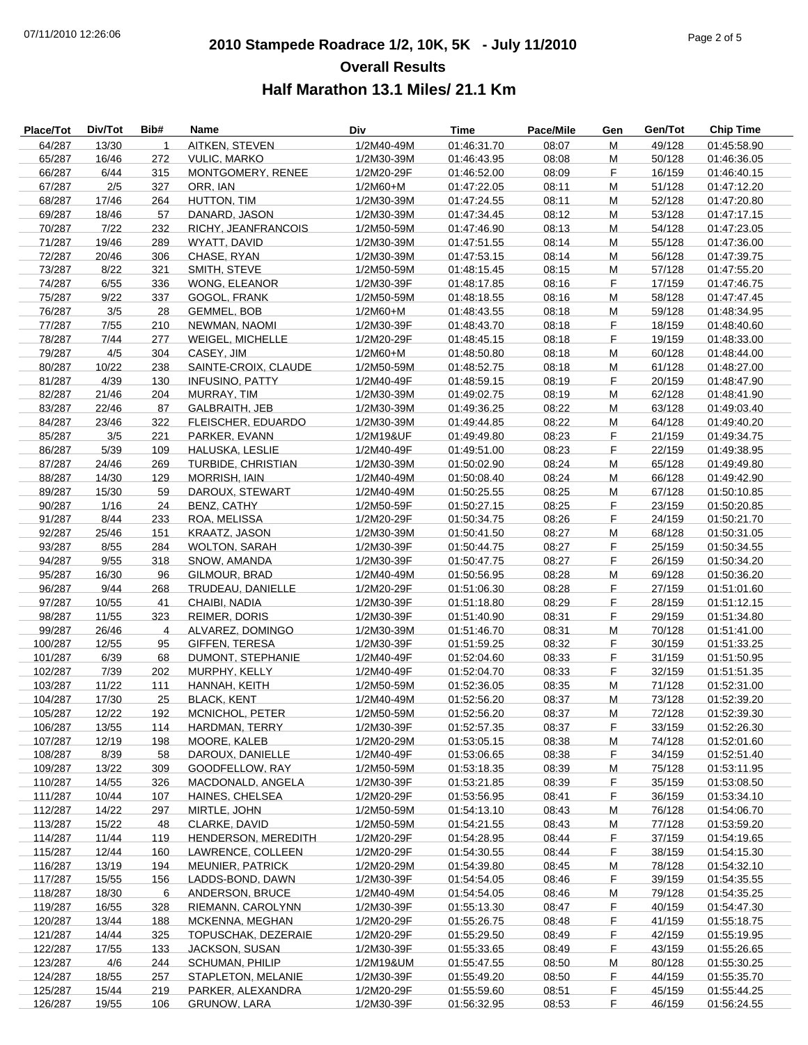# **2010 Stampede Roadrace 1/2, 10K, 5K - July 11/2010** 07/11/2010 12:26:06 Page 2 of 5 **Overall Results Half Marathon 13.1 Miles/ 21.1 Km**

| Place/Tot | Div/Tot | Bib#         | Name                    | Div        | <b>Time</b> | Pace/Mile | Gen | Gen/Tot | <b>Chip Time</b> |
|-----------|---------|--------------|-------------------------|------------|-------------|-----------|-----|---------|------------------|
| 64/287    | 13/30   | $\mathbf{1}$ | AITKEN, STEVEN          | 1/2M40-49M | 01:46:31.70 | 08:07     | M   | 49/128  | 01:45:58.90      |
| 65/287    | 16/46   | 272          | <b>VULIC, MARKO</b>     | 1/2M30-39M | 01:46:43.95 | 08:08     | M   | 50/128  | 01:46:36.05      |
| 66/287    | 6/44    | 315          | MONTGOMERY, RENEE       | 1/2M20-29F | 01:46:52.00 | 08:09     | F   | 16/159  | 01:46:40.15      |
| 67/287    | 2/5     | 327          | ORR, IAN                | 1/2M60+M   | 01:47:22.05 | 08:11     | M   | 51/128  | 01:47:12.20      |
| 68/287    | 17/46   | 264          | HUTTON, TIM             | 1/2M30-39M | 01:47:24.55 | 08:11     | M   | 52/128  | 01:47:20.80      |
| 69/287    | 18/46   | 57           | DANARD, JASON           | 1/2M30-39M | 01:47:34.45 | 08:12     | M   | 53/128  | 01:47:17.15      |
| 70/287    | 7/22    | 232          | RICHY, JEANFRANCOIS     | 1/2M50-59M | 01:47:46.90 | 08:13     | M   | 54/128  | 01:47:23.05      |
| 71/287    | 19/46   | 289          | WYATT, DAVID            | 1/2M30-39M | 01:47:51.55 | 08:14     | M   | 55/128  | 01:47:36.00      |
| 72/287    | 20/46   | 306          | CHASE, RYAN             | 1/2M30-39M | 01:47:53.15 | 08:14     | M   | 56/128  | 01:47:39.75      |
| 73/287    | 8/22    | 321          | SMITH, STEVE            | 1/2M50-59M | 01:48:15.45 | 08:15     | M   | 57/128  | 01:47:55.20      |
| 74/287    | 6/55    | 336          | WONG, ELEANOR           | 1/2M30-39F | 01:48:17.85 | 08:16     | F   | 17/159  | 01:47:46.75      |
| 75/287    | 9/22    | 337          | GOGOL, FRANK            | 1/2M50-59M | 01:48:18.55 | 08:16     | M   | 58/128  | 01:47:47.45      |
| 76/287    | 3/5     | 28           | <b>GEMMEL, BOB</b>      | 1/2M60+M   | 01:48:43.55 | 08:18     | M   | 59/128  | 01:48:34.95      |
| 77/287    | 7/55    | 210          | NEWMAN, NAOMI           | 1/2M30-39F | 01:48:43.70 | 08:18     | F   | 18/159  | 01:48:40.60      |
| 78/287    | 7/44    | 277          | <b>WEIGEL, MICHELLE</b> | 1/2M20-29F | 01:48:45.15 | 08:18     | F   | 19/159  | 01:48:33.00      |
| 79/287    | 4/5     | 304          | CASEY, JIM              | 1/2M60+M   | 01:48:50.80 | 08:18     | M   | 60/128  | 01:48:44.00      |
| 80/287    | 10/22   | 238          | SAINTE-CROIX, CLAUDE    | 1/2M50-59M | 01:48:52.75 | 08:18     | M   | 61/128  | 01:48:27.00      |
| 81/287    | 4/39    | 130          | <b>INFUSINO, PATTY</b>  | 1/2M40-49F | 01:48:59.15 | 08:19     | F   | 20/159  | 01:48:47.90      |
| 82/287    | 21/46   | 204          | MURRAY, TIM             | 1/2M30-39M | 01:49:02.75 | 08:19     | M   | 62/128  | 01:48:41.90      |
| 83/287    | 22/46   | 87           | GALBRAITH, JEB          | 1/2M30-39M | 01:49:36.25 | 08:22     | M   | 63/128  | 01:49:03.40      |
| 84/287    | 23/46   | 322          | FLEISCHER, EDUARDO      | 1/2M30-39M | 01:49:44.85 | 08:22     | M   | 64/128  | 01:49:40.20      |
| 85/287    | 3/5     | 221          | PARKER, EVANN           | 1/2M19&UF  | 01:49:49.80 | 08:23     | F   | 21/159  | 01:49:34.75      |
| 86/287    | 5/39    | 109          | HALUSKA, LESLIE         | 1/2M40-49F | 01:49:51.00 | 08:23     | F   | 22/159  | 01:49:38.95      |
| 87/287    | 24/46   | 269          | TURBIDE, CHRISTIAN      | 1/2M30-39M | 01:50:02.90 | 08:24     | M   | 65/128  | 01:49:49.80      |
| 88/287    | 14/30   | 129          | <b>MORRISH, IAIN</b>    | 1/2M40-49M | 01:50:08.40 | 08:24     | M   | 66/128  | 01:49:42.90      |
| 89/287    | 15/30   | 59           | DAROUX, STEWART         | 1/2M40-49M | 01:50:25.55 | 08:25     | M   | 67/128  | 01:50:10.85      |
| 90/287    | 1/16    | 24           | BENZ, CATHY             | 1/2M50-59F | 01:50:27.15 | 08:25     | F   | 23/159  | 01:50:20.85      |
|           |         |              |                         |            |             |           | F   |         |                  |
| 91/287    | 8/44    | 233          | ROA, MELISSA            | 1/2M20-29F | 01:50:34.75 | 08:26     | M   | 24/159  | 01:50:21.70      |
| 92/287    | 25/46   | 151          | KRAATZ, JASON           | 1/2M30-39M | 01:50:41.50 | 08:27     |     | 68/128  | 01:50:31.05      |
| 93/287    | 8/55    | 284          | <b>WOLTON, SARAH</b>    | 1/2M30-39F | 01:50:44.75 | 08:27     | F   | 25/159  | 01:50:34.55      |
| 94/287    | 9/55    | 318          | SNOW, AMANDA            | 1/2M30-39F | 01:50:47.75 | 08:27     | F   | 26/159  | 01:50:34.20      |
| 95/287    | 16/30   | 96           | GILMOUR, BRAD           | 1/2M40-49M | 01:50:56.95 | 08:28     | M   | 69/128  | 01:50:36.20      |
| 96/287    | 9/44    | 268          | TRUDEAU, DANIELLE       | 1/2M20-29F | 01:51:06.30 | 08:28     | F   | 27/159  | 01:51:01.60      |
| 97/287    | 10/55   | 41           | CHAIBI, NADIA           | 1/2M30-39F | 01:51:18.80 | 08:29     | F   | 28/159  | 01:51:12.15      |
| 98/287    | 11/55   | 323          | <b>REIMER, DORIS</b>    | 1/2M30-39F | 01:51:40.90 | 08:31     | F   | 29/159  | 01:51:34.80      |
| 99/287    | 26/46   | 4            | ALVAREZ, DOMINGO        | 1/2M30-39M | 01:51:46.70 | 08:31     | M   | 70/128  | 01:51:41.00      |
| 100/287   | 12/55   | 95           | <b>GIFFEN, TERESA</b>   | 1/2M30-39F | 01:51:59.25 | 08:32     | F   | 30/159  | 01:51:33.25      |
| 101/287   | 6/39    | 68           | DUMONT, STEPHANIE       | 1/2M40-49F | 01:52:04.60 | 08:33     | F   | 31/159  | 01:51:50.95      |
| 102/287   | 7/39    | 202          | MURPHY, KELLY           | 1/2M40-49F | 01:52:04.70 | 08:33     | F   | 32/159  | 01:51:51.35      |
| 103/287   | 11/22   | 111          | HANNAH, KEITH           | 1/2M50-59M | 01:52:36.05 | 08:35     | M   | 71/128  | 01:52:31.00      |
| 104/287   | 17/30   | 25           | <b>BLACK, KENT</b>      | 1/2M40-49M | 01:52:56.20 | 08:37     | M   | 73/128  | 01:52:39.20      |
| 105/287   | 12/22   | 192          | MCNICHOL, PETER         | 1/2M50-59M | 01:52:56.20 | 08:37     | M   | 72/128  | 01:52:39.30      |
| 106/287   | 13/55   | 114          | HARDMAN, TERRY          | 1/2M30-39F | 01:52:57.35 | 08:37     | F.  | 33/159  | 01:52:26.30      |
| 107/287   | 12/19   | 198          | MOORE, KALEB            | 1/2M20-29M | 01:53:05.15 | 08:38     | M   | 74/128  | 01:52:01.60      |
| 108/287   | 8/39    | 58           | DAROUX, DANIELLE        | 1/2M40-49F | 01:53:06.65 | 08:38     | F.  | 34/159  | 01:52:51.40      |
| 109/287   | 13/22   | 309          | GOODFELLOW, RAY         | 1/2M50-59M | 01:53:18.35 | 08:39     | M   | 75/128  | 01:53:11.95      |
| 110/287   | 14/55   | 326          | MACDONALD, ANGELA       | 1/2M30-39F | 01:53:21.85 | 08:39     | F   | 35/159  | 01:53:08.50      |
| 111/287   | 10/44   | 107          | HAINES, CHELSEA         | 1/2M20-29F | 01:53:56.95 | 08:41     | F.  | 36/159  | 01:53:34.10      |
| 112/287   | 14/22   | 297          | MIRTLE, JOHN            | 1/2M50-59M | 01:54:13.10 | 08:43     | M   | 76/128  | 01:54:06.70      |
| 113/287   | 15/22   | 48           | CLARKE, DAVID           | 1/2M50-59M | 01:54:21.55 | 08:43     | M   | 77/128  | 01:53:59.20      |
| 114/287   | 11/44   | 119          | HENDERSON, MEREDITH     | 1/2M20-29F | 01:54:28.95 | 08:44     | F   | 37/159  | 01:54:19.65      |
| 115/287   | 12/44   | 160          | LAWRENCE, COLLEEN       | 1/2M20-29F | 01:54:30.55 | 08:44     | F.  | 38/159  | 01:54:15.30      |
| 116/287   | 13/19   | 194          | <b>MEUNIER, PATRICK</b> | 1/2M20-29M | 01:54:39.80 | 08:45     | M   | 78/128  | 01:54:32.10      |
| 117/287   | 15/55   | 156          | LADDS-BOND, DAWN        | 1/2M30-39F | 01:54:54.05 | 08:46     | F.  | 39/159  | 01:54:35.55      |
| 118/287   | 18/30   | 6            | ANDERSON, BRUCE         | 1/2M40-49M | 01:54:54.05 | 08:46     | M   | 79/128  | 01:54:35.25      |
| 119/287   | 16/55   | 328          | RIEMANN, CAROLYNN       | 1/2M30-39F | 01:55:13.30 | 08:47     | F   | 40/159  | 01:54:47.30      |
| 120/287   | 13/44   | 188          | MCKENNA, MEGHAN         | 1/2M20-29F | 01:55:26.75 | 08:48     | F   | 41/159  | 01:55:18.75      |
| 121/287   | 14/44   | 325          | TOPUSCHAK, DEZERAIE     | 1/2M20-29F | 01:55:29.50 | 08:49     | F   | 42/159  | 01:55:19.95      |
| 122/287   | 17/55   | 133          | JACKSON, SUSAN          | 1/2M30-39F | 01:55:33.65 | 08:49     | F   | 43/159  | 01:55:26.65      |
| 123/287   | 4/6     | 244          | <b>SCHUMAN, PHILIP</b>  | 1/2M19&UM  | 01:55:47.55 | 08:50     | M   | 80/128  | 01:55:30.25      |
| 124/287   | 18/55   | 257          | STAPLETON, MELANIE      | 1/2M30-39F | 01:55:49.20 | 08:50     | F.  | 44/159  | 01:55:35.70      |
| 125/287   | 15/44   | 219          | PARKER, ALEXANDRA       | 1/2M20-29F | 01:55:59.60 | 08:51     | F   | 45/159  | 01:55:44.25      |
| 126/287   | 19/55   | 106          | <b>GRUNOW, LARA</b>     | 1/2M30-39F | 01:56:32.95 | 08:53     | F   | 46/159  | 01:56:24.55      |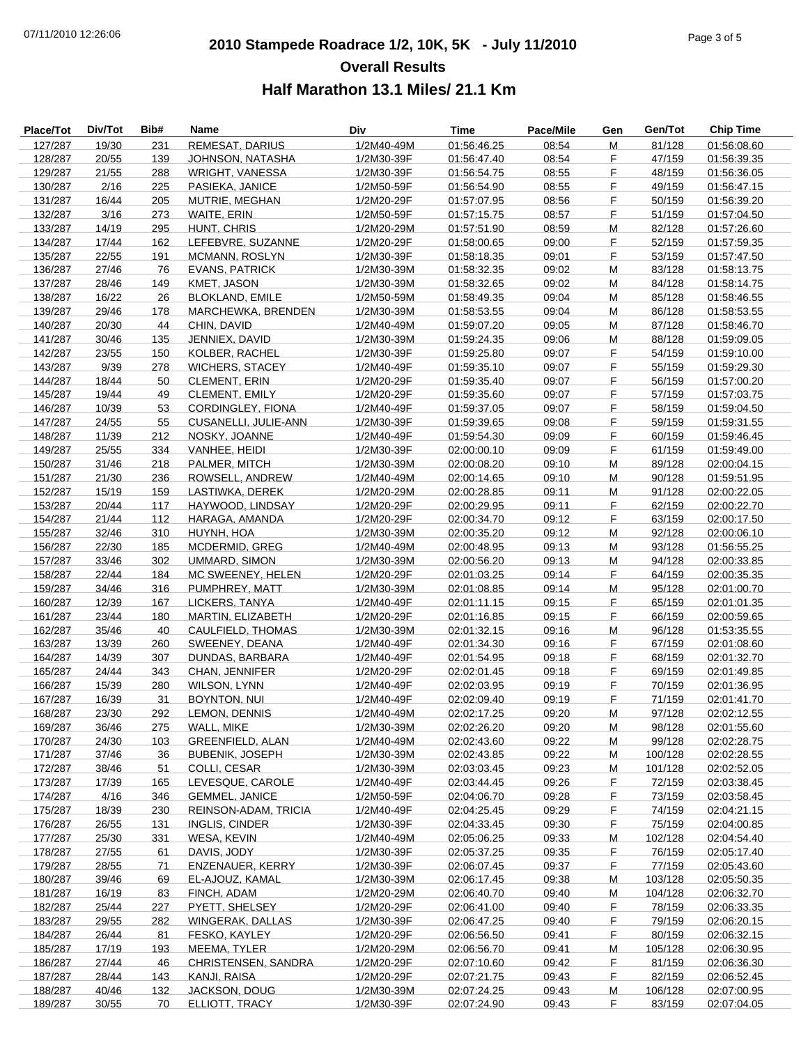# **2010 Stampede Roadrace 1/2, 10K, 5K - July 11/2010** 07/11/2010 12:26:06 Page 3 of 5 **Overall Results Half Marathon 13.1 Miles/ 21.1 Km**

| Place/Tot | Div/Tot | Bib# | Name                    | <b>Div</b> | Time        | Pace/Mile | Gen | Gen/Tot | <b>Chip Time</b> |
|-----------|---------|------|-------------------------|------------|-------------|-----------|-----|---------|------------------|
| 127/287   | 19/30   | 231  | REMESAT, DARIUS         | 1/2M40-49M | 01:56:46.25 | 08:54     | M   | 81/128  | 01:56:08.60      |
| 128/287   | 20/55   | 139  | JOHNSON, NATASHA        | 1/2M30-39F | 01:56:47.40 | 08:54     | F   | 47/159  | 01:56:39.35      |
| 129/287   | 21/55   | 288  | <b>WRIGHT, VANESSA</b>  | 1/2M30-39F | 01:56:54.75 | 08:55     | F   | 48/159  | 01:56:36.05      |
| 130/287   | 2/16    | 225  | PASIEKA, JANICE         | 1/2M50-59F | 01:56:54.90 | 08:55     | F   | 49/159  | 01:56:47.15      |
| 131/287   | 16/44   | 205  | MUTRIE, MEGHAN          | 1/2M20-29F | 01:57:07.95 | 08:56     | F   | 50/159  | 01:56:39.20      |
| 132/287   | 3/16    | 273  | WAITE, ERIN             | 1/2M50-59F | 01:57:15.75 | 08:57     | F   | 51/159  | 01:57:04.50      |
| 133/287   | 14/19   | 295  | HUNT, CHRIS             | 1/2M20-29M | 01:57:51.90 | 08:59     | M   | 82/128  | 01:57:26.60      |
| 134/287   | 17/44   | 162  | LEFEBVRE, SUZANNE       | 1/2M20-29F | 01:58:00.65 | 09:00     | F   | 52/159  | 01:57:59.35      |
| 135/287   | 22/55   | 191  | MCMANN, ROSLYN          | 1/2M30-39F | 01:58:18.35 | 09:01     | F   | 53/159  | 01:57:47.50      |
| 136/287   | 27/46   | 76   | <b>EVANS, PATRICK</b>   | 1/2M30-39M | 01:58:32.35 | 09:02     | M   | 83/128  | 01:58:13.75      |
| 137/287   | 28/46   | 149  | KMET, JASON             | 1/2M30-39M | 01:58:32.65 | 09:02     | M   | 84/128  | 01:58:14.75      |
| 138/287   | 16/22   | 26   | <b>BLOKLAND, EMILE</b>  | 1/2M50-59M | 01:58:49.35 | 09:04     | M   | 85/128  | 01:58:46.55      |
| 139/287   | 29/46   | 178  | MARCHEWKA, BRENDEN      | 1/2M30-39M | 01:58:53.55 | 09:04     | M   | 86/128  | 01:58:53.55      |
| 140/287   | 20/30   | 44   | CHIN, DAVID             | 1/2M40-49M | 01:59:07.20 | 09:05     | M   | 87/128  | 01:58:46.70      |
| 141/287   | 30/46   | 135  | JENNIEX, DAVID          | 1/2M30-39M | 01:59:24.35 | 09:06     | M   | 88/128  | 01:59:09.05      |
| 142/287   | 23/55   | 150  | KOLBER, RACHEL          | 1/2M30-39F | 01:59:25.80 | 09:07     | F   | 54/159  | 01:59:10.00      |
| 143/287   | 9/39    | 278  | <b>WICHERS, STACEY</b>  | 1/2M40-49F | 01:59:35.10 | 09:07     | F   | 55/159  | 01:59:29.30      |
|           |         | 50   | <b>CLEMENT, ERIN</b>    | 1/2M20-29F | 01:59:35.40 |           | F   | 56/159  |                  |
| 144/287   | 18/44   |      |                         |            |             | 09:07     |     |         | 01:57:00.20      |
| 145/287   | 19/44   | 49   | CLEMENT, EMILY          | 1/2M20-29F | 01:59:35.60 | 09:07     | F   | 57/159  | 01:57:03.75      |
| 146/287   | 10/39   | 53   | CORDINGLEY, FIONA       | 1/2M40-49F | 01:59:37.05 | 09:07     | F   | 58/159  | 01:59:04.50      |
| 147/287   | 24/55   | 55   | CUSANELLI, JULIE-ANN    | 1/2M30-39F | 01:59:39.65 | 09:08     | F   | 59/159  | 01:59:31.55      |
| 148/287   | 11/39   | 212  | NOSKY, JOANNE           | 1/2M40-49F | 01:59:54.30 | 09:09     | F   | 60/159  | 01:59:46.45      |
| 149/287   | 25/55   | 334  | VANHEE, HEIDI           | 1/2M30-39F | 02:00:00.10 | 09:09     | F   | 61/159  | 01:59:49.00      |
| 150/287   | 31/46   | 218  | PALMER, MITCH           | 1/2M30-39M | 02:00:08.20 | 09:10     | M   | 89/128  | 02:00:04.15      |
| 151/287   | 21/30   | 236  | ROWSELL, ANDREW         | 1/2M40-49M | 02:00:14.65 | 09:10     | M   | 90/128  | 01:59:51.95      |
| 152/287   | 15/19   | 159  | LASTIWKA, DEREK         | 1/2M20-29M | 02:00:28.85 | 09:11     | M   | 91/128  | 02:00:22.05      |
| 153/287   | 20/44   | 117  | HAYWOOD, LINDSAY        | 1/2M20-29F | 02:00:29.95 | 09:11     | F   | 62/159  | 02:00:22.70      |
| 154/287   | 21/44   | 112  | HARAGA, AMANDA          | 1/2M20-29F | 02:00:34.70 | 09:12     | F   | 63/159  | 02:00:17.50      |
| 155/287   | 32/46   | 310  | HUYNH, HOA              | 1/2M30-39M | 02:00:35.20 | 09:12     | M   | 92/128  | 02:00:06.10      |
| 156/287   | 22/30   | 185  | MCDERMID, GREG          | 1/2M40-49M | 02:00:48.95 | 09:13     | M   | 93/128  | 01:56:55.25      |
| 157/287   | 33/46   | 302  | UMMARD, SIMON           | 1/2M30-39M | 02:00:56.20 | 09:13     | M   | 94/128  | 02:00:33.85      |
| 158/287   | 22/44   | 184  | MC SWEENEY, HELEN       | 1/2M20-29F | 02:01:03.25 | 09:14     | F   | 64/159  | 02:00:35.35      |
| 159/287   | 34/46   | 316  | PUMPHREY, MATT          | 1/2M30-39M | 02:01:08.85 | 09:14     | M   | 95/128  | 02:01:00.70      |
| 160/287   | 12/39   | 167  | LICKERS, TANYA          | 1/2M40-49F | 02:01:11.15 | 09:15     | F   | 65/159  | 02:01:01.35      |
| 161/287   | 23/44   | 180  | MARTIN, ELIZABETH       | 1/2M20-29F | 02:01:16.85 | 09:15     | F   | 66/159  | 02:00:59.65      |
| 162/287   | 35/46   | 40   | CAULFIELD, THOMAS       | 1/2M30-39M | 02:01:32.15 | 09:16     | М   | 96/128  | 01:53:35.55      |
| 163/287   | 13/39   | 260  | SWEENEY, DEANA          | 1/2M40-49F | 02:01:34.30 | 09:16     | F   | 67/159  | 02:01:08.60      |
| 164/287   | 14/39   | 307  | DUNDAS, BARBARA         | 1/2M40-49F | 02:01:54.95 | 09:18     | F   | 68/159  | 02:01:32.70      |
| 165/287   | 24/44   | 343  | CHAN, JENNIFER          | 1/2M20-29F | 02:02:01.45 | 09:18     | F   | 69/159  | 02:01:49.85      |
| 166/287   | 15/39   | 280  | <b>WILSON, LYNN</b>     | 1/2M40-49F | 02:02:03.95 | 09:19     | F   | 70/159  | 02:01:36.95      |
| 167/287   | 16/39   | 31   | <b>BOYNTON, NUI</b>     | 1/2M40-49F | 02:02:09.40 | 09:19     | F   | 71/159  | 02:01:41.70      |
| 168/287   | 23/30   | 292  | <b>LEMON, DENNIS</b>    | 1/2M40-49M | 02:02:17.25 | 09:20     | M   | 97/128  | 02:02:12.55      |
| 169/287   | 36/46   | 275  | WALL, MIKE              | 1/2M30-39M | 02:02:26.20 | 09:20     | M   | 98/128  | 02:01:55.60      |
| 170/287   | 24/30   | 103  | <b>GREENFIELD, ALAN</b> | 1/2M40-49M | 02:02:43.60 | 09:22     | M   | 99/128  | 02:02:28.75      |
| 171/287   | 37/46   | 36   | <b>BUBENIK, JOSEPH</b>  | 1/2M30-39M | 02:02:43.85 | 09:22     | M   | 100/128 | 02:02:28.55      |
| 172/287   | 38/46   | 51   | COLLI, CESAR            | 1/2M30-39M | 02:03:03.45 | 09:23     | M   | 101/128 | 02:02:52.05      |
| 173/287   | 17/39   | 165  | LEVESQUE, CAROLE        | 1/2M40-49F | 02:03:44.45 | 09:26     | F   | 72/159  | 02:03:38.45      |
| 174/287   | 4/16    | 346  | <b>GEMMEL, JANICE</b>   | 1/2M50-59F | 02:04:06.70 | 09:28     | F   | 73/159  | 02:03:58.45      |
| 175/287   | 18/39   | 230  | REINSON-ADAM, TRICIA    | 1/2M40-49F | 02:04:25.45 | 09:29     | F   | 74/159  | 02:04:21.15      |
| 176/287   | 26/55   | 131  | INGLIS, CINDER          | 1/2M30-39F | 02:04:33.45 | 09:30     | F   | 75/159  | 02:04:00.85      |
| 177/287   | 25/30   | 331  | WESA, KEVIN             | 1/2M40-49M | 02:05:06.25 | 09:33     | M   | 102/128 | 02:04:54.40      |
| 178/287   | 27/55   | 61   | DAVIS, JODY             | 1/2M30-39F | 02:05:37.25 | 09:35     | F.  | 76/159  | 02:05:17.40      |
| 179/287   | 28/55   | 71   | ENZENAUER, KERRY        | 1/2M30-39F | 02:06:07.45 | 09:37     | F   | 77/159  | 02:05:43.60      |
| 180/287   | 39/46   | 69   | EL-AJOUZ, KAMAL         | 1/2M30-39M | 02:06:17.45 | 09:38     | M   | 103/128 | 02:05:50.35      |
| 181/287   | 16/19   | 83   | FINCH, ADAM             | 1/2M20-29M | 02:06:40.70 | 09:40     | M   | 104/128 | 02:06:32.70      |
| 182/287   | 25/44   | 227  | PYETT, SHELSEY          | 1/2M20-29F | 02:06:41.00 | 09:40     | F.  | 78/159  | 02:06:33.35      |
| 183/287   | 29/55   | 282  | WINGERAK, DALLAS        | 1/2M30-39F | 02:06:47.25 | 09:40     | F   | 79/159  | 02:06:20.15      |
| 184/287   | 26/44   | 81   | FESKO, KAYLEY           | 1/2M20-29F | 02:06:56.50 | 09:41     | F   | 80/159  | 02:06:32.15      |
| 185/287   | 17/19   | 193  | MEEMA, TYLER            | 1/2M20-29M | 02:06:56.70 | 09:41     | M   | 105/128 | 02:06:30.95      |
| 186/287   | 27/44   | 46   | CHRISTENSEN, SANDRA     | 1/2M20-29F | 02:07:10.60 | 09:42     | F.  | 81/159  | 02:06:36.30      |
| 187/287   | 28/44   | 143  | KANJI, RAISA            | 1/2M20-29F | 02:07:21.75 | 09:43     | F   | 82/159  | 02:06:52.45      |
| 188/287   | 40/46   | 132  | JACKSON, DOUG           | 1/2M30-39M | 02:07:24.25 | 09:43     | M   | 106/128 | 02:07:00.95      |
| 189/287   | 30/55   | 70   | ELLIOTT, TRACY          | 1/2M30-39F | 02:07:24.90 | 09:43     | F.  | 83/159  | 02:07:04.05      |
|           |         |      |                         |            |             |           |     |         |                  |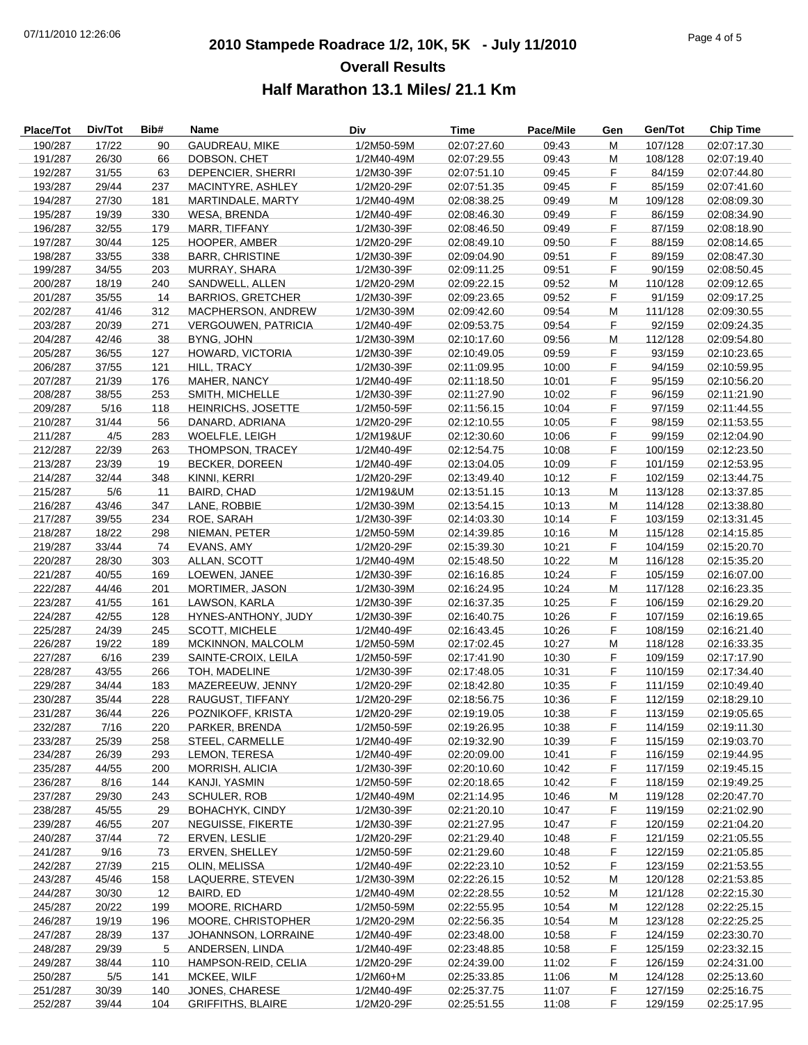# **2010 Stampede Roadrace 1/2, 10K, 5K - July 11/2010** 07/11/2010 12:26:06 Page 4 of 5 **Overall Results Half Marathon 13.1 Miles/ 21.1 Km**

| Place/Tot          | Div/Tot        | Bib#       | Name                              | Div                      | Time                       | Pace/Mile      | Gen       | Gen/Tot            | <b>Chip Time</b>           |
|--------------------|----------------|------------|-----------------------------------|--------------------------|----------------------------|----------------|-----------|--------------------|----------------------------|
| 190/287            | 17/22          | 90         | GAUDREAU, MIKE                    | 1/2M50-59M               | 02:07:27.60                | 09:43          | M         | 107/128            | 02:07:17.30                |
| 191/287            | 26/30          | 66         | DOBSON, CHET                      | 1/2M40-49M               | 02:07:29.55                | 09:43          | M         | 108/128            | 02:07:19.40                |
| 192/287            | 31/55          | 63         | DEPENCIER, SHERRI                 | 1/2M30-39F               | 02:07:51.10                | 09:45          | F         | 84/159             | 02:07:44.80                |
| 193/287            | 29/44          | 237        | MACINTYRE, ASHLEY                 | 1/2M20-29F               | 02:07:51.35                | 09:45          | F         | 85/159             | 02:07:41.60                |
| 194/287            | 27/30          | 181        | MARTINDALE, MARTY                 | 1/2M40-49M               | 02:08:38.25                | 09:49          | ${\sf M}$ | 109/128            | 02:08:09.30                |
| 195/287            | 19/39          | 330        | <b>WESA, BRENDA</b>               | 1/2M40-49F               | 02:08:46.30                | 09:49          | F.        | 86/159             | 02:08:34.90                |
| 196/287            | 32/55          | 179        | MARR, TIFFANY                     | 1/2M30-39F               | 02:08:46.50                | 09:49          | F         | 87/159             | 02:08:18.90                |
| 197/287            | 30/44          | 125        | HOOPER, AMBER                     | 1/2M20-29F               | 02:08:49.10                | 09:50          | F         | 88/159             | 02:08:14.65                |
| 198/287            | 33/55          | 338        | <b>BARR, CHRISTINE</b>            | 1/2M30-39F               | 02:09:04.90                | 09:51          | F         | 89/159             | 02:08:47.30                |
| 199/287            | 34/55          | 203        | MURRAY, SHARA                     | 1/2M30-39F               | 02:09:11.25                | 09:51          | F         | 90/159             | 02:08:50.45                |
| 200/287            | 18/19          | 240        | SANDWELL, ALLEN                   | 1/2M20-29M               | 02:09:22.15                | 09:52          | M         | 110/128            | 02:09:12.65                |
| 201/287            | 35/55          | 14         | <b>BARRIOS, GRETCHER</b>          | 1/2M30-39F               | 02:09:23.65                | 09:52          | F.        | 91/159             | 02:09:17.25                |
| 202/287            | 41/46          | 312        | MACPHERSON, ANDREW                | 1/2M30-39M               | 02:09:42.60                | 09:54          | ${\sf M}$ | 111/128            | 02:09:30.55                |
| 203/287            | 20/39          | 271        | <b>VERGOUWEN, PATRICIA</b>        | 1/2M40-49F               | 02:09:53.75                | 09:54          | F.        | 92/159             | 02:09:24.35                |
| 204/287            | 42/46          | 38         | BYNG, JOHN                        | 1/2M30-39M               | 02:10:17.60                | 09:56          | M         | 112/128            | 02:09:54.80                |
| 205/287            | 36/55          | 127        | HOWARD, VICTORIA                  | 1/2M30-39F               | 02:10:49.05                | 09:59          | F         | 93/159             | 02:10:23.65                |
| 206/287            | 37/55          | 121        | HILL, TRACY                       | 1/2M30-39F               | 02:11:09.95                | 10:00          | F         | 94/159             | 02:10:59.95                |
| 207/287            | 21/39          | 176        | <b>MAHER, NANCY</b>               | 1/2M40-49F               | 02:11:18.50                | 10:01          | F         | 95/159             | 02:10:56.20                |
| 208/287            | 38/55          | 253        | SMITH, MICHELLE                   | 1/2M30-39F               | 02:11:27.90                | 10:02          | F         | 96/159             | 02:11:21.90                |
| 209/287            | 5/16           | 118        | HEINRICHS, JOSETTE                | 1/2M50-59F               | 02:11:56.15                | 10:04          | F         | 97/159             | 02:11:44.55                |
| 210/287            | 31/44          | 56         | DANARD, ADRIANA                   | 1/2M20-29F               | 02:12:10.55                | 10:05          | F         | 98/159             | 02:11:53.55                |
| 211/287            | 4/5            | 283        | WOELFLE, LEIGH                    | 1/2M19&UF                | 02:12:30.60                | 10:06          | F         | 99/159             | 02:12:04.90                |
| 212/287            | 22/39          | 263        | THOMPSON, TRACEY                  | 1/2M40-49F               | 02:12:54.75                | 10:08          | F         | 100/159            | 02:12:23.50                |
| 213/287            | 23/39          | 19         | <b>BECKER, DOREEN</b>             | 1/2M40-49F               | 02:13:04.05                | 10:09          | F         | 101/159            | 02:12:53.95                |
| 214/287            | 32/44          | 348        | KINNI, KERRI                      | 1/2M20-29F               | 02:13:49.40                | 10:12          | F         | 102/159            | 02:13:44.75                |
| 215/287            | 5/6            | 11         | BAIRD, CHAD                       | 1/2M19&UM                | 02:13:51.15                | 10:13          | M         | 113/128            | 02:13:37.85                |
| 216/287            | 43/46          | 347        | LANE, ROBBIE                      | 1/2M30-39M               | 02:13:54.15                | 10:13          | M         | 114/128            | 02:13:38.80                |
| 217/287            | 39/55          | 234        | ROE, SARAH                        | 1/2M30-39F               | 02:14:03.30                | 10:14          | F.        | 103/159            | 02:13:31.45                |
| 218/287            | 18/22          | 298        | NIEMAN, PETER                     | 1/2M50-59M               | 02:14:39.85                | 10:16          | ${\sf M}$ | 115/128            | 02:14:15.85                |
| 219/287            | 33/44          | 74         | EVANS, AMY                        | 1/2M20-29F               | 02:15:39.30                | 10:21          | F.        | 104/159            | 02:15:20.70                |
| 220/287            | 28/30          | 303        | ALLAN, SCOTT                      | 1/2M40-49M               | 02:15:48.50                | 10:22          | M         | 116/128            | 02:15:35.20                |
| 221/287            | 40/55          | 169        | LOEWEN, JANEE                     | 1/2M30-39F               | 02:16:16.85                | 10:24          | F.        | 105/159            | 02:16:07.00                |
| 222/287            | 44/46          | 201        | MORTIMER, JASON                   | 1/2M30-39M               | 02:16:24.95                | 10:24          | ${\sf M}$ | 117/128            | 02:16:23.35                |
| 223/287            | 41/55          | 161        | LAWSON, KARLA                     | 1/2M30-39F               | 02:16:37.35                | 10:25          | F.        | 106/159            | 02:16:29.20                |
| 224/287            | 42/55          | 128        | HYNES-ANTHONY, JUDY               | 1/2M30-39F               | 02:16:40.75                | 10:26          | F.        | 107/159            | 02:16:19.65                |
| 225/287            | 24/39          | 245        | <b>SCOTT, MICHELE</b>             | 1/2M40-49F               | 02:16:43.45                | 10:26          | F         | 108/159            | 02:16:21.40                |
| 226/287            | 19/22          | 189        | MCKINNON, MALCOLM                 | 1/2M50-59M               | 02:17:02.45                | 10:27          | M         | 118/128            | 02:16:33.35                |
| 227/287            | 6/16           | 239        | SAINTE-CROIX, LEILA               | 1/2M50-59F               | 02:17:41.90                | 10:30          | F.        | 109/159            | 02:17:17.90                |
| 228/287            | 43/55          | 266        | TOH, MADELINE                     | 1/2M30-39F               | 02:17:48.05                | 10:31          | F         | 110/159            | 02:17:34.40                |
| 229/287            | 34/44          | 183        | MAZEREEUW, JENNY                  | 1/2M20-29F               | 02:18:42.80                | 10:35          | F         | 111/159            | 02:10:49.40                |
| 230/287            | 35/44          | 228        | RAUGUST, TIFFANY                  | 1/2M20-29F               | 02:18:56.75                | 10:36          | F         | 112/159            | 02:18:29.10                |
| 231/287            | 36/44          | 226        | POZNIKOFF, KRISTA                 | 1/2M20-29F               | 02:19:19.05                | 10:38          | F         | 113/159            | 02:19:05.65                |
| 232/287            | 7/16           | 220        | PARKER, BRENDA                    | 1/2M50-59F               | 02:19:26.95                | 10:38          | F.        | 114/159            | 02:19:11.30                |
| 233/287            | 25/39          | 258        | STEEL, CARMELLE                   | 1/2M40-49F               | 02:19:32.90                | 10:39          | F         | 115/159            | 02:19:03.70                |
| 234/287            | 26/39          | 293        | LEMON, TERESA                     | 1/2M40-49F               | 02:20:09.00                | 10:41          | F         | 116/159            | 02:19:44.95                |
| 235/287            | 44/55          | 200        | <b>MORRISH, ALICIA</b>            | 1/2M30-39F               | 02:20:10.60                | 10:42          | F         | 117/159            | 02:19:45.15                |
| 236/287            | 8/16           | 144        | KANJI, YASMIN                     | 1/2M50-59F               | 02:20:18.65                | 10:42          | F.        | 118/159            | 02:19:49.25                |
| 237/287            | 29/30          | 243        | <b>SCHULER, ROB</b>               | 1/2M40-49M               | 02:21:14.95                | 10:46          | М         | 119/128            | 02:20:47.70                |
| 238/287            | 45/55          | 29         | <b>BOHACHYK, CINDY</b>            | 1/2M30-39F               | 02:21:20.10                | 10:47          | F.        | 119/159            | 02:21:02.90                |
| 239/287            | 46/55          | 207        | NEGUISSE, FIKERTE                 | 1/2M30-39F               | 02:21:27.95                | 10:47          | F.        | 120/159            | 02:21:04.20                |
| 240/287            | 37/44          | 72         | ERVEN, LESLIE                     | 1/2M20-29F               | 02:21:29.40                | 10:48          | F.        | 121/159            | 02:21:05.55                |
| 241/287            |                |            |                                   | 1/2M50-59F               |                            | 10:48          | F         | 122/159            |                            |
|                    | 9/16           | 73         | ERVEN, SHELLEY                    |                          | 02:21:29.60                |                |           |                    | 02:21:05.85                |
| 242/287<br>243/287 | 27/39<br>45/46 | 215<br>158 | OLIN, MELISSA<br>LAQUERRE, STEVEN | 1/2M40-49F<br>1/2M30-39M | 02:22:23.10<br>02:22:26.15 | 10:52<br>10:52 | F         | 123/159<br>120/128 | 02:21:53.55<br>02:21:53.85 |
| 244/287            | 30/30          | 12         | BAIRD, ED                         | 1/2M40-49M               | 02:22:28.55                | 10:52          | M         | 121/128            | 02:22:15.30                |
|                    |                |            |                                   |                          |                            |                | M         |                    |                            |
| 245/287            | 20/22          | 199        | MOORE, RICHARD                    | 1/2M50-59M               | 02:22:55.95                | 10:54          | M         | 122/128            | 02:22:25.15                |
| 246/287            | 19/19          | 196        | MOORE, CHRISTOPHER                | 1/2M20-29M               | 02:22:56.35                | 10:54          | M         | 123/128            | 02:22:25.25                |
| 247/287            | 28/39          | 137        | JOHANNSON, LORRAINE               | 1/2M40-49F               | 02:23:48.00                | 10:58          | F.        | 124/159            | 02:23:30.70                |
| 248/287            | 29/39          | 5          | ANDERSEN, LINDA                   | 1/2M40-49F               | 02:23:48.85                | 10:58          | F.        | 125/159            | 02:23:32.15                |
| 249/287            | 38/44          | 110        | HAMPSON-REID, CELIA               | 1/2M20-29F               | 02:24:39.00                | 11:02          | F         | 126/159            | 02:24:31.00                |
| 250/287            | 5/5            | 141        | MCKEE, WILF                       | 1/2M60+M                 | 02:25:33.85                | 11:06          | M         | 124/128            | 02:25:13.60                |
| 251/287            | 30/39          | 140        | JONES, CHARESE                    | 1/2M40-49F               | 02:25:37.75                | 11:07          | F<br>F.   | 127/159            | 02:25:16.75                |
| 252/287            | 39/44          | 104        | <b>GRIFFITHS, BLAIRE</b>          | 1/2M20-29F               | 02:25:51.55                | 11:08          |           | 129/159            | 02:25:17.95                |